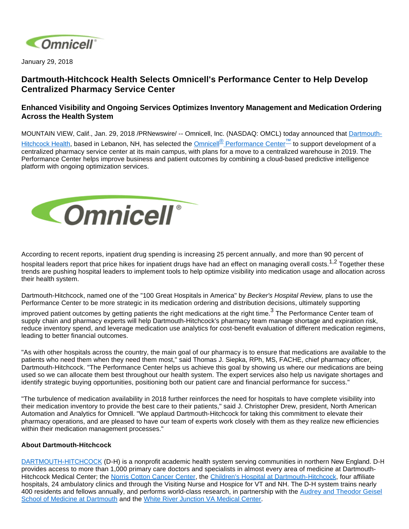

January 29, 2018

## **Dartmouth-Hitchcock Health Selects Omnicell's Performance Center to Help Develop Centralized Pharmacy Service Center**

## **Enhanced Visibility and Ongoing Services Optimizes Inventory Management and Medication Ordering Across the Health System**

MOUNTAIN VIEW, Calif., Jan. 29, 2018 /PRNewswire/ -- Omnicell, Inc. (NASDAQ: OMCL) today announced that [Dartmouth-](http://www.dartmouth-hitchcock.org/)[Hitchcock Health](http://www.dartmouth-hitchcock.org/), based in Lebanon, NH, has selected the Omnicell<sup>®</sup> [Performance Center](https://www.omnicell.com/Products/Performance_Center.aspx)<sup>™</sup> to support development of a centralized pharmacy service center at its main campus, with plans for a move to a centralized warehouse in 2019. The Performance Center helps improve business and patient outcomes by combining a cloud-based predictive intelligence platform with ongoing optimization services.



According to recent reports, inpatient drug spending is increasing 25 percent annually, and more than 90 percent of hospital leaders report that price hikes for inpatient drugs have had an effect on managing overall costs.<sup>1,2</sup> Together these trends are pushing hospital leaders to implement tools to help optimize visibility into medication usage and allocation across their health system.

Dartmouth-Hitchcock, named one of the "100 Great Hospitals in America" by Becker's Hospital Review, plans to use the Performance Center to be more strategic in its medication ordering and distribution decisions, ultimately supporting

improved patient outcomes by getting patients the right medications at the right time. $^3$  The Performance Center team of supply chain and pharmacy experts will help Dartmouth-Hitchcock's pharmacy team manage shortage and expiration risk, reduce inventory spend, and leverage medication use analytics for cost-benefit evaluation of different medication regimens, leading to better financial outcomes.

"As with other hospitals across the country, the main goal of our pharmacy is to ensure that medications are available to the patients who need them when they need them most," said Thomas J. Siepka, RPh, MS, FACHE, chief pharmacy officer, Dartmouth-Hitchcock. "The Performance Center helps us achieve this goal by showing us where our medications are being used so we can allocate them best throughout our health system. The expert services also help us navigate shortages and identify strategic buying opportunities, positioning both our patient care and financial performance for success."

"The turbulence of medication availability in 2018 further reinforces the need for hospitals to have complete visibility into their medication inventory to provide the best care to their patients," said J. Christopher Drew, president, North American Automation and Analytics for Omnicell. "We applaud Dartmouth-Hitchcock for taking this commitment to elevate their pharmacy operations, and are pleased to have our team of experts work closely with them as they realize new efficiencies within their medication management processes."

## **About Dartmouth-Hitchcock**

[DARTMOUTH-HITCHCOCK](http://www.dartmouth-hitchcock.org/) (D-H) is a nonprofit academic health system serving communities in northern New England. D-H provides access to more than 1,000 primary care doctors and specialists in almost every area of medicine at Dartmouth-Hitchcock Medical Center; the [Norris Cotton Cancer Center,](http://cancer.dartmouth.edu/) the [Children's Hospital at Dartmouth-Hitchcock](http://www.chadkids.org/), four affiliate hospitals, 24 ambulatory clinics and through the Visiting Nurse and Hospice for VT and NH. The D-H system trains nearly 400 residents and fellows annually, and performs world-class research, in partnership with the [Audrey and Theodor Geisel](http://geiselmed.dartmouth.edu/)  [School of Medicine at Dartmouth](http://geiselmed.dartmouth.edu/) and the [White River Junction VA Medical Center](http://www.whiteriver.va.gov/).